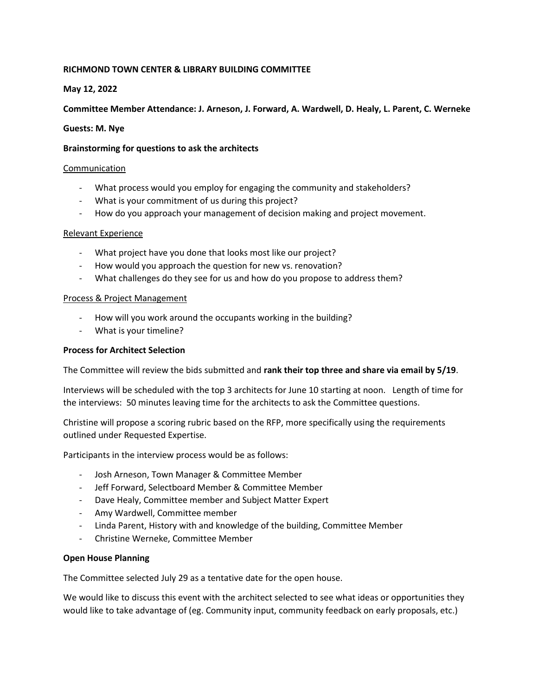# **RICHMOND TOWN CENTER & LIBRARY BUILDING COMMITTEE**

# **May 12, 2022**

# **Committee Member Attendance: J. Arneson, J. Forward, A. Wardwell, D. Healy, L. Parent, C. Werneke**

## **Guests: M. Nye**

### **Brainstorming for questions to ask the architects**

### **Communication**

- What process would you employ for engaging the community and stakeholders?
- What is your commitment of us during this project?
- How do you approach your management of decision making and project movement.

### Relevant Experience

- What project have you done that looks most like our project?
- How would you approach the question for new vs. renovation?
- What challenges do they see for us and how do you propose to address them?

### Process & Project Management

- How will you work around the occupants working in the building?
- What is your timeline?

## **Process for Architect Selection**

The Committee will review the bids submitted and **rank their top three and share via email by 5/19**.

Interviews will be scheduled with the top 3 architects for June 10 starting at noon. Length of time for the interviews: 50 minutes leaving time for the architects to ask the Committee questions.

Christine will propose a scoring rubric based on the RFP, more specifically using the requirements outlined under Requested Expertise.

Participants in the interview process would be as follows:

- Josh Arneson, Town Manager & Committee Member
- Jeff Forward, Selectboard Member & Committee Member
- Dave Healy, Committee member and Subject Matter Expert
- Amy Wardwell, Committee member
- Linda Parent, History with and knowledge of the building, Committee Member
- Christine Werneke, Committee Member

## **Open House Planning**

The Committee selected July 29 as a tentative date for the open house.

We would like to discuss this event with the architect selected to see what ideas or opportunities they would like to take advantage of (eg. Community input, community feedback on early proposals, etc.)